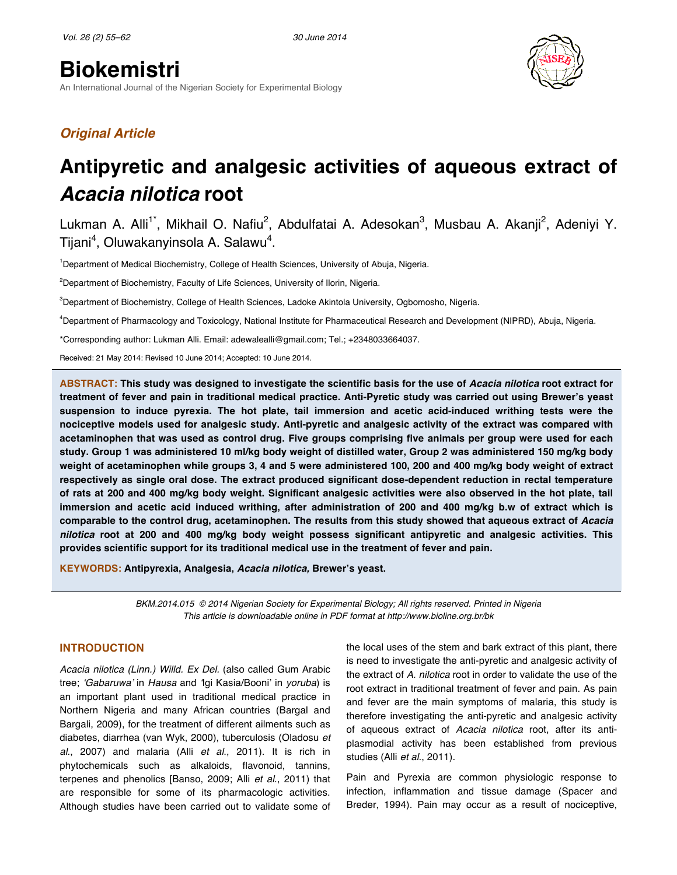# **Biokemistri**

An International Journal of the Nigerian Society for Experimental Biology



## *Original Article*

## **Antipyretic and analgesic activities of aqueous extract of**  *Acacia nilotica* **root**

Lukman A. Alli<sup>1\*</sup>, Mikhail O. Nafiu<sup>2</sup>, Abdulfatai A. Adesokan<sup>3</sup>, Musbau A. Akanji<sup>2</sup>, Adeniyi Y. Tijani<sup>4</sup>, Oluwakanyinsola A. Salawu<sup>4</sup>.

<sup>1</sup>Department of Medical Biochemistry, College of Health Sciences, University of Abuja, Nigeria.

<sup>2</sup>Department of Biochemistry, Faculty of Life Sciences, University of Ilorin, Nigeria.

3 Department of Biochemistry, College of Health Sciences, Ladoke Akintola University, Ogbomosho, Nigeria.

4 Department of Pharmacology and Toxicology, National Institute for Pharmaceutical Research and Development (NIPRD), Abuja, Nigeria.

\*Corresponding author: Lukman Alli. Email: adewalealli@gmail.com; Tel.; +2348033664037.

Received: 21 May 2014: Revised 10 June 2014; Accepted: 10 June 2014.

**ABSTRACT: This study was designed to investigate the scientific basis for the use of** *Acacia nilotica* **root extract for treatment of fever and pain in traditional medical practice. Anti-Pyretic study was carried out using Brewer's yeast suspension to induce pyrexia. The hot plate, tail immersion and acetic acid-induced writhing tests were the nociceptive models used for analgesic study. Anti-pyretic and analgesic activity of the extract was compared with acetaminophen that was used as control drug. Five groups comprising five animals per group were used for each study. Group 1 was administered 10 ml/kg body weight of distilled water, Group 2 was administered 150 mg/kg body weight of acetaminophen while groups 3, 4 and 5 were administered 100, 200 and 400 mg/kg body weight of extract respectively as single oral dose. The extract produced significant dose-dependent reduction in rectal temperature of rats at 200 and 400 mg/kg body weight. Significant analgesic activities were also observed in the hot plate, tail immersion and acetic acid induced writhing, after administration of 200 and 400 mg/kg b.w of extract which is comparable to the control drug, acetaminophen. The results from this study showed that aqueous extract of** *Acacia nilotica* **root at 200 and 400 mg/kg body weight possess significant antipyretic and analgesic activities. This provides scientific support for its traditional medical use in the treatment of fever and pain.**

**KEYWORDS: Antipyrexia, Analgesia,** *Acacia nilotica,* **Brewer's yeast.**

*BKM.2014.015 © 2014 Nigerian Society for Experimental Biology; All rights reserved. Printed in Nigeria This article is downloadable online in PDF format at http://www.bioline.org.br/bk*

## **INTRODUCTION**

*Acacia nilotica (Linn.) Willd. Ex Del.* (also called Gum Arabic tree; ʻ*Gabaruwa*' in *Hausa* and ʻIgi Kasia/Booni' in *yoruba*) is an important plant used in traditional medical practice in Northern Nigeria and many African countries (Bargal and Bargali, 2009), for the treatment of different ailments such as diabetes, diarrhea (van Wyk, 2000), tuberculosis (Oladosu *et al*., 2007) and malaria (Alli *et al*., 2011). It is rich in phytochemicals such as alkaloids, flavonoid, tannins, terpenes and phenolics [Banso, 2009; Alli *et al*., 2011) that are responsible for some of its pharmacologic activities. Although studies have been carried out to validate some of

the local uses of the stem and bark extract of this plant, there is need to investigate the anti-pyretic and analgesic activity of the extract of *A. nilotica* root in order to validate the use of the root extract in traditional treatment of fever and pain. As pain and fever are the main symptoms of malaria, this study is therefore investigating the anti-pyretic and analgesic activity of aqueous extract of *Acacia nilotica* root, after its antiplasmodial activity has been established from previous studies (Alli *et al*., 2011).

Pain and Pyrexia are common physiologic response to infection, inflammation and tissue damage (Spacer and Breder, 1994). Pain may occur as a result of nociceptive,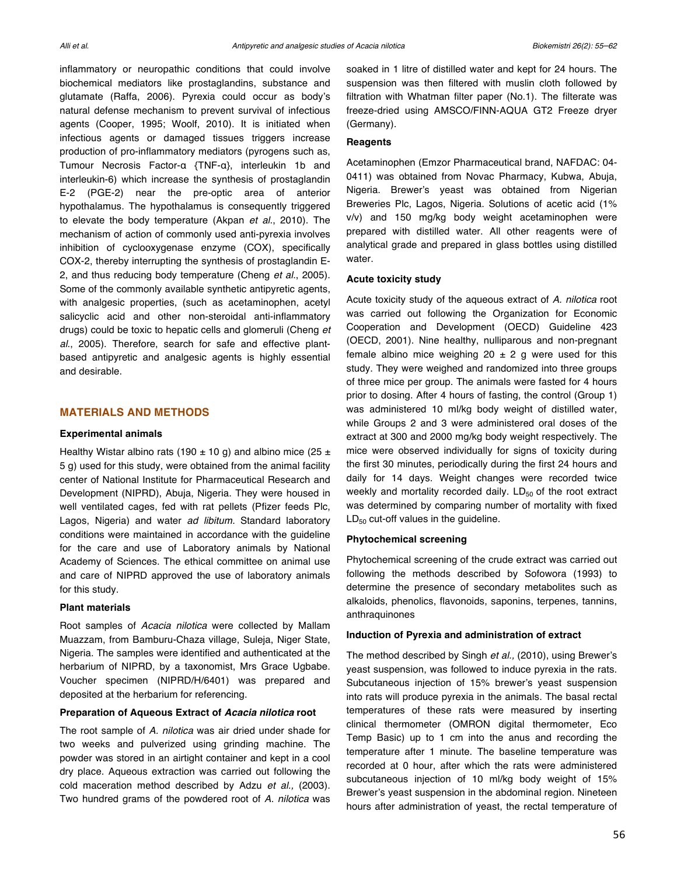inflammatory or neuropathic conditions that could involve biochemical mediators like prostaglandins, substance and glutamate (Raffa, 2006). Pyrexia could occur as body's natural defense mechanism to prevent survival of infectious agents (Cooper, 1995; Woolf, 2010). It is initiated when infectious agents or damaged tissues triggers increase production of pro-inflammatory mediators (pyrogens such as, Tumour Necrosis Factor-α {TNF-α}, interleukin 1b and interleukin-6) which increase the synthesis of prostaglandin E-2 (PGE-2) near the pre-optic area of anterior hypothalamus. The hypothalamus is consequently triggered to elevate the body temperature (Akpan *et al*., 2010). The mechanism of action of commonly used anti-pyrexia involves inhibition of cyclooxygenase enzyme (COX), specifically COX-2, thereby interrupting the synthesis of prostaglandin E-2, and thus reducing body temperature (Cheng *et al*., 2005). Some of the commonly available synthetic antipyretic agents, with analgesic properties, (such as acetaminophen, acetyl salicyclic acid and other non-steroidal anti-inflammatory drugs) could be toxic to hepatic cells and glomeruli (Cheng *et al*., 2005). Therefore, search for safe and effective plantbased antipyretic and analgesic agents is highly essential and desirable.

### **MATERIALS AND METHODS**

#### **Experimental animals**

Healthy Wistar albino rats (190  $\pm$  10 g) and albino mice (25  $\pm$ 5 g) used for this study, were obtained from the animal facility center of National Institute for Pharmaceutical Research and Development (NIPRD), Abuja, Nigeria. They were housed in well ventilated cages, fed with rat pellets (Pfizer feeds Plc, Lagos, Nigeria) and water *ad libitum.* Standard laboratory conditions were maintained in accordance with the guideline for the care and use of Laboratory animals by National Academy of Sciences. The ethical committee on animal use and care of NIPRD approved the use of laboratory animals for this study.

#### **Plant materials**

Root samples of *Acacia nilotica* were collected by Mallam Muazzam, from Bamburu-Chaza village, Suleja, Niger State, Nigeria. The samples were identified and authenticated at the herbarium of NIPRD, by a taxonomist, Mrs Grace Ugbabe. Voucher specimen (NIPRD/H/6401) was prepared and deposited at the herbarium for referencing.

#### **Preparation of Aqueous Extract of** *Acacia nilotica* **root**

The root sample of *A. nilotica* was air dried under shade for two weeks and pulverized using grinding machine. The powder was stored in an airtight container and kept in a cool dry place. Aqueous extraction was carried out following the cold maceration method described by Adzu *et al.,* (2003). Two hundred grams of the powdered root of *A. nilotica* was soaked in 1 litre of distilled water and kept for 24 hours. The suspension was then filtered with muslin cloth followed by filtration with Whatman filter paper (No.1). The filterate was freeze-dried using AMSCO/FINN-AQUA GT2 Freeze dryer (Germany).

## **Reagents**

Acetaminophen (Emzor Pharmaceutical brand, NAFDAC: 04- 0411) was obtained from Novac Pharmacy, Kubwa, Abuja, Nigeria. Brewer's yeast was obtained from Nigerian Breweries Plc, Lagos, Nigeria. Solutions of acetic acid (1% v/v) and 150 mg/kg body weight acetaminophen were prepared with distilled water. All other reagents were of analytical grade and prepared in glass bottles using distilled water.

#### **Acute toxicity study**

Acute toxicity study of the aqueous extract of *A. nilotica* root was carried out following the Organization for Economic Cooperation and Development (OECD) Guideline 423 (OECD, 2001). Nine healthy, nulliparous and non-pregnant female albino mice weighing  $20 \pm 2$  g were used for this study. They were weighed and randomized into three groups of three mice per group. The animals were fasted for 4 hours prior to dosing. After 4 hours of fasting, the control (Group 1) was administered 10 ml/kg body weight of distilled water, while Groups 2 and 3 were administered oral doses of the extract at 300 and 2000 mg/kg body weight respectively. The mice were observed individually for signs of toxicity during the first 30 minutes, periodically during the first 24 hours and daily for 14 days. Weight changes were recorded twice weekly and mortality recorded daily.  $LD_{50}$  of the root extract was determined by comparing number of mortality with fixed  $LD_{50}$  cut-off values in the guideline.

#### **Phytochemical screening**

Phytochemical screening of the crude extract was carried out following the methods described by Sofowora (1993) to determine the presence of secondary metabolites such as alkaloids, phenolics, flavonoids, saponins, terpenes, tannins, anthraquinones

#### **Induction of Pyrexia and administration of extract**

The method described by Singh *et al.,* (2010), using Brewer's yeast suspension, was followed to induce pyrexia in the rats. Subcutaneous injection of 15% brewer's yeast suspension into rats will produce pyrexia in the animals. The basal rectal temperatures of these rats were measured by inserting clinical thermometer (OMRON digital thermometer, Eco Temp Basic) up to 1 cm into the anus and recording the temperature after 1 minute. The baseline temperature was recorded at 0 hour, after which the rats were administered subcutaneous injection of 10 ml/kg body weight of 15% Brewer's yeast suspension in the abdominal region. Nineteen hours after administration of yeast, the rectal temperature of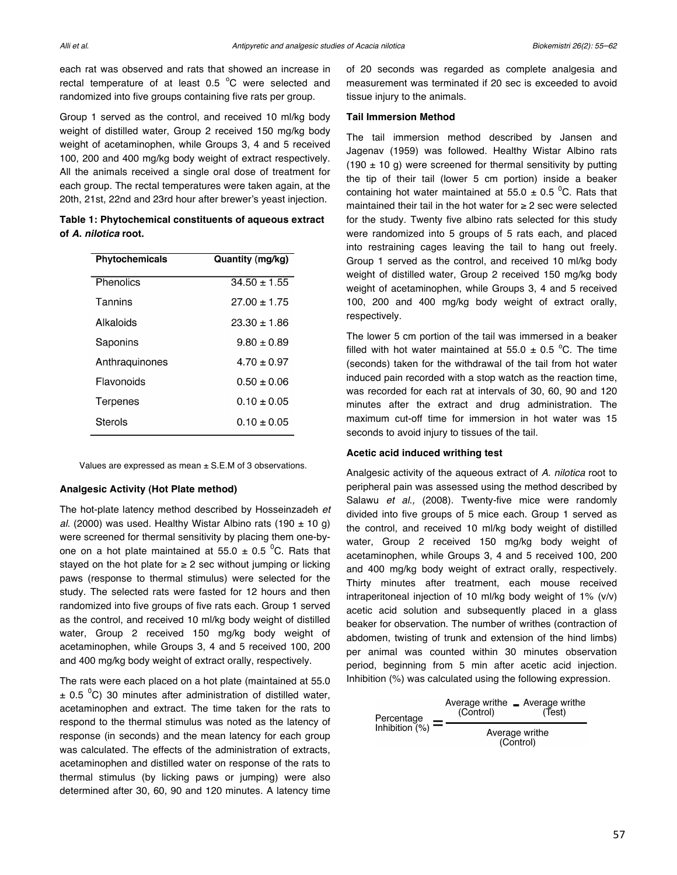each rat was observed and rats that showed an increase in rectal temperature of at least  $0.5\degree$ C were selected and randomized into five groups containing five rats per group.

Group 1 served as the control, and received 10 ml/kg body weight of distilled water, Group 2 received 150 mg/kg body weight of acetaminophen, while Groups 3, 4 and 5 received 100, 200 and 400 mg/kg body weight of extract respectively. All the animals received a single oral dose of treatment for each group. The rectal temperatures were taken again, at the 20th, 21st, 22nd and 23rd hour after brewer's yeast injection.

**Table 1: Phytochemical constituents of aqueous extract of** *A. nilotica* **root.**

| <b>Phytochemicals</b> | Quantity (mg/kg) |
|-----------------------|------------------|
| Phenolics             | $34.50 + 1.55$   |
| Tannins               | $27.00 + 1.75$   |
| Alkaloids             | $23.30 + 1.86$   |
| Saponins              | $9.80 \pm 0.89$  |
| Anthraguinones        | $4.70 + 0.97$    |
| Flavonoids            | $0.50 \pm 0.06$  |
| Terpenes              | $0.10 \pm 0.05$  |
| Sterols               | 0.10 + 0.05      |

Values are expressed as mean  $\pm$  S.E.M of 3 observations.

#### **Analgesic Activity (Hot Plate method)**

The hot-plate latency method described by Hosseinzadeh *et al.* (2000) was used. Healthy Wistar Albino rats (190  $\pm$  10 g) were screened for thermal sensitivity by placing them one-byone on a hot plate maintained at 55.0  $\pm$  0.5 <sup>o</sup>C. Rats that stayed on the hot plate for  $\geq 2$  sec without jumping or licking paws (response to thermal stimulus) were selected for the study. The selected rats were fasted for 12 hours and then randomized into five groups of five rats each. Group 1 served as the control, and received 10 ml/kg body weight of distilled water, Group 2 received 150 mg/kg body weight of acetaminophen, while Groups 3, 4 and 5 received 100, 200 and 400 mg/kg body weight of extract orally, respectively.

The rats were each placed on a hot plate (maintained at 55.0  $\pm$  0.5 <sup>o</sup>C) 30 minutes after administration of distilled water, acetaminophen and extract. The time taken for the rats to respond to the thermal stimulus was noted as the latency of response (in seconds) and the mean latency for each group was calculated. The effects of the administration of extracts, acetaminophen and distilled water on response of the rats to thermal stimulus (by licking paws or jumping) were also determined after 30, 60, 90 and 120 minutes. A latency time

of 20 seconds was regarded as complete analgesia and measurement was terminated if 20 sec is exceeded to avoid tissue injury to the animals.

#### **Tail Immersion Method**

The tail immersion method described by Jansen and Jagenav (1959) was followed. Healthy Wistar Albino rats (190  $\pm$  10 g) were screened for thermal sensitivity by putting the tip of their tail (lower 5 cm portion) inside a beaker containing hot water maintained at 55.0  $\pm$  0.5 <sup>o</sup>C. Rats that maintained their tail in the hot water for ≥ 2 sec were selected for the study. Twenty five albino rats selected for this study were randomized into 5 groups of 5 rats each, and placed into restraining cages leaving the tail to hang out freely. Group 1 served as the control, and received 10 ml/kg body weight of distilled water, Group 2 received 150 mg/kg body weight of acetaminophen, while Groups 3, 4 and 5 received 100, 200 and 400 mg/kg body weight of extract orally, respectively.

The lower 5 cm portion of the tail was immersed in a beaker filled with hot water maintained at  $55.0 \pm 0.5$  °C. The time (seconds) taken for the withdrawal of the tail from hot water induced pain recorded with a stop watch as the reaction time, was recorded for each rat at intervals of 30, 60, 90 and 120 minutes after the extract and drug administration. The maximum cut-off time for immersion in hot water was 15 seconds to avoid injury to tissues of the tail.

#### **Acetic acid induced writhing test**

Analgesic activity of the aqueous extract of *A. nilotica* root to peripheral pain was assessed using the method described by Salawu *et al.,* (2008). Twenty-five mice were randomly divided into five groups of 5 mice each. Group 1 served as the control, and received 10 ml/kg body weight of distilled water, Group 2 received 150 mg/kg body weight of acetaminophen, while Groups 3, 4 and 5 received 100, 200 and 400 mg/kg body weight of extract orally, respectively. Thirty minutes after treatment, each mouse received intraperitoneal injection of 10 ml/kg body weight of 1% (v/v) acetic acid solution and subsequently placed in a glass beaker for observation. The number of writhes (contraction of abdomen, twisting of trunk and extension of the hind limbs) per animal was counted within 30 minutes observation period, beginning from 5 min after acetic acid injection. Inhibition (%) was calculated using the following expression.

$$
Percentage = \frac{Average\ write - Average\ write}{(Control)} = \frac{(Control)}{Average\ write}
$$
\n
$$
(Control)
$$
\n
$$
(Control)
$$
\n
$$
(Control)
$$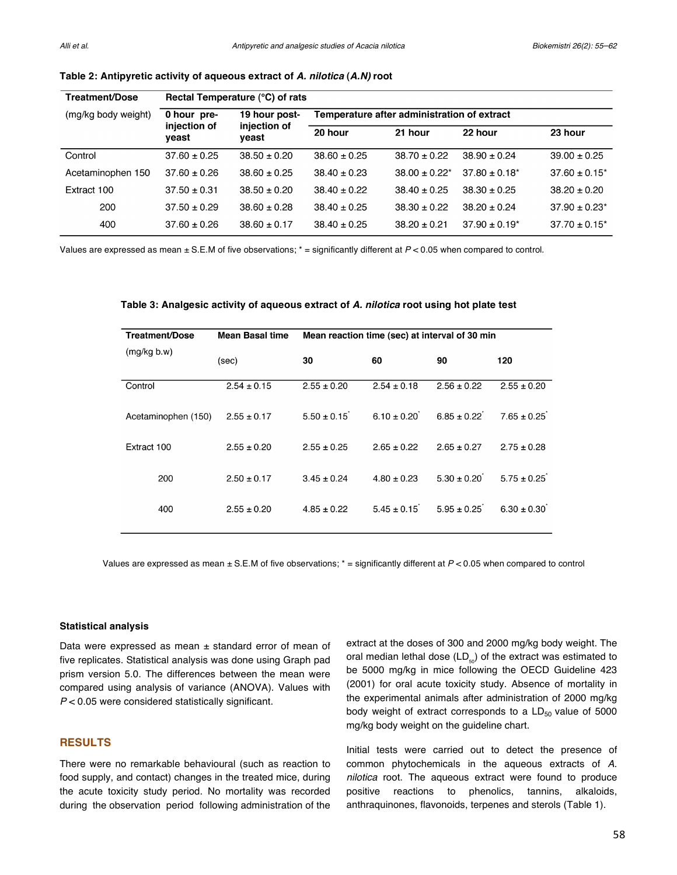| Rectal Temperature (°C) of rats |                                        |                                             |                    |                    |                    |
|---------------------------------|----------------------------------------|---------------------------------------------|--------------------|--------------------|--------------------|
| 0 hour pre-                     | 19 hour post-<br>injection of<br>yeast | Temperature after administration of extract |                    |                    |                    |
| veast                           |                                        | 20 hour                                     | 21 hour            | 22 hour            | 23 hour            |
| $37.60 \pm 0.25$                | $38.50 \pm 0.20$                       | $38.60 \pm 0.25$                            | $38.70 \pm 0.22$   | $38.90 \pm 0.24$   | $39.00 \pm 0.25$   |
| $37.60 \pm 0.26$                | $38.60 \pm 0.25$                       | $38.40 \pm 0.23$                            | $38.00 \pm 0.22^*$ | $37.80 \pm 0.18^*$ | $37.60 \pm 0.15^*$ |
| $37.50 \pm 0.31$                | $38.50 \pm 0.20$                       | $38.40 \pm 0.22$                            | $38.40 \pm 0.25$   | $38.30 + 0.25$     | $38.20 \pm 0.20$   |
| $37.50 \pm 0.29$                | $38.60 \pm 0.28$                       | $38.40 \pm 0.25$                            | $38.30 \pm 0.22$   | $38.20 \pm 0.24$   | $37.90 \pm 0.23^*$ |
| $37.60 \pm 0.26$                | $38.60 \pm 0.17$                       | $38.40 \pm 0.25$                            | $38.20 \pm 0.21$   | $37.90 \pm 0.19^*$ | $37.70 \pm 0.15^*$ |
|                                 | injection of                           |                                             |                    |                    |                    |

## **Table 2: Antipyretic activity of aqueous extract of** *A. nilotica* **(***A.N)* **root**

Values are expressed as mean  $\pm$  S.E.M of five observations;  $* =$  significantly different at  $P < 0.05$  when compared to control.

| Treatment/Dose      | <b>Mean Basal time</b> | Mean reaction time (sec) at interval of 30 min |                 |                 |                 |
|---------------------|------------------------|------------------------------------------------|-----------------|-----------------|-----------------|
| (mg/kg b.w)         | (sec)                  | 30                                             | 60              | 90              | 120             |
| Control             | $2.54 \pm 0.15$        | $2.55 \pm 0.20$                                | $2.54 \pm 0.18$ | $2.56 \pm 0.22$ | $2.55 \pm 0.20$ |
| Acetaminophen (150) | $2.55 \pm 0.17$        | $5.50 \pm 0.15$                                | $6.10 + 0.20$   | $6.85 + 0.22$   | $7.65 + 0.25$   |
| Extract 100         | $2.55 \pm 0.20$        | $2.55 \pm 0.25$                                | $2.65 \pm 0.22$ | $2.65 \pm 0.27$ | $2.75 \pm 0.28$ |
| 200                 | $2.50 \pm 0.17$        | $3.45 \pm 0.24$                                | $4.80 \pm 0.23$ | $5.30 \pm 0.20$ | $5.75 \pm 0.25$ |
| 400                 | $2.55 \pm 0.20$        | $4.85 \pm 0.22$                                | $5.45 + 0.15$   | $5.95 \pm 0.25$ | $6.30 \pm 0.30$ |
|                     |                        |                                                |                 |                 |                 |

#### **Table 3: Analgesic activity of aqueous extract of** *A. nilotica* **root using hot plate test**

Values are expressed as mean ± S.E.M of five observations; \* = significantly different at *P* < 0.05 when compared to control

#### **Statistical analysis**

Data were expressed as mean  $\pm$  standard error of mean of five replicates. Statistical analysis was done using Graph pad prism version 5.0. The differences between the mean were compared using analysis of variance (ANOVA). Values with *P* < 0.05 were considered statistically significant.

## **RESULTS**

There were no remarkable behavioural (such as reaction to food supply, and contact) changes in the treated mice, during the acute toxicity study period. No mortality was recorded during the observation period following administration of the

extract at the doses of 300 and 2000 mg/kg body weight. The oral median lethal dose  $(LD_{\kappa})$  of the extract was estimated to be 5000 mg/kg in mice following the OECD Guideline 423 (2001) for oral acute toxicity study. Absence of mortality in the experimental animals after administration of 2000 mg/kg body weight of extract corresponds to a  $LD_{50}$  value of 5000 mg/kg body weight on the guideline chart.

Initial tests were carried out to detect the presence of common phytochemicals in the aqueous extracts of *A. nilotica* root. The aqueous extract were found to produce positive reactions to phenolics, tannins, alkaloids, anthraquinones, flavonoids, terpenes and sterols (Table 1).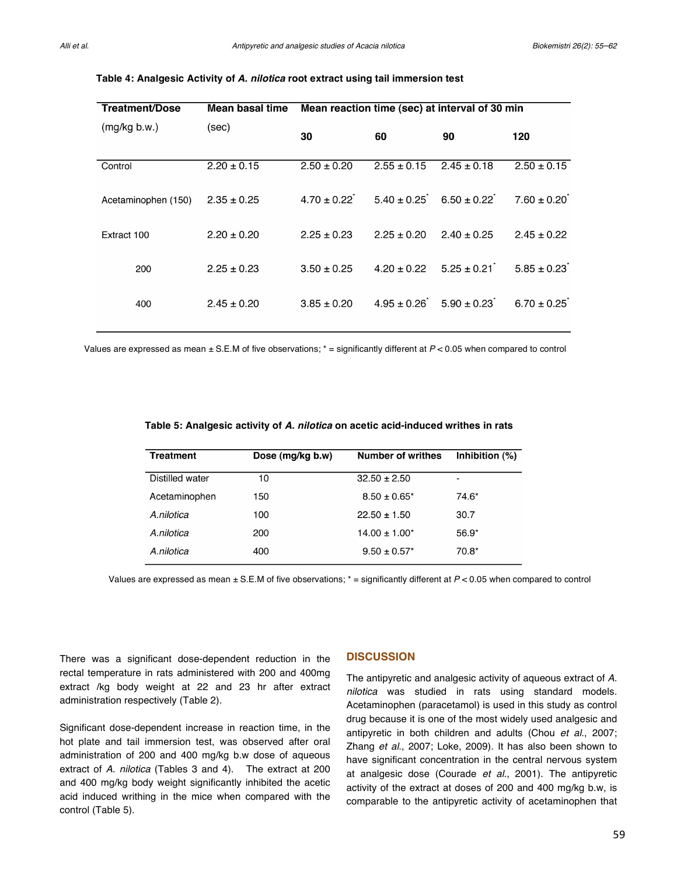| Treatment/Dose      | Mean basal time | Mean reaction time (sec) at interval of 30 min |                 |                                 |                 |
|---------------------|-----------------|------------------------------------------------|-----------------|---------------------------------|-----------------|
| (mg/kg b.w.)        | (sec)           | 30                                             | 60              | 90                              | 120             |
| Control             | $2.20 \pm 0.15$ | $2.50 \pm 0.20$                                | $2.55 \pm 0.15$ | $2.45 \pm 0.18$                 | $2.50 \pm 0.15$ |
| Acetaminophen (150) | $2.35 \pm 0.25$ | $4.70 \pm 0.22$                                |                 | $5.40 \pm 0.25$ 6.50 $\pm$ 0.22 | $7.60 \pm 0.20$ |
| Extract 100         | $2.20 \pm 0.20$ | $2.25 \pm 0.23$                                | $2.25 \pm 0.20$ | $2.40 \pm 0.25$                 | $2.45 \pm 0.22$ |
|                     |                 |                                                |                 |                                 |                 |
| 200                 | $2.25 \pm 0.23$ | $3.50 \pm 0.25$                                | $4.20 \pm 0.22$ | $5.25 \pm 0.21$                 | $5.85 \pm 0.23$ |
| 400                 | $2.45 \pm 0.20$ | $3.85 \pm 0.20$                                |                 | $4.95 \pm 0.26$ $5.90 \pm 0.23$ | $6.70 \pm 0.25$ |

#### **Table 4: Analgesic Activity of** *A. nilotica* **root extract using tail immersion test**

Values are expressed as mean ± S.E.M of five observations; \* = significantly different at *P* < 0.05 when compared to control

| Table 5: Analgesic activity of <i>A. nilotica</i> on acetic acid-induced writhes in rats |  |  |  |
|------------------------------------------------------------------------------------------|--|--|--|
|------------------------------------------------------------------------------------------|--|--|--|

| <b>Treatment</b> | Dose (mg/kg b.w) | <b>Number of writhes</b> | Inhibition $(\%)$        |
|------------------|------------------|--------------------------|--------------------------|
| Distilled water  | 10               | $32.50 \pm 2.50$         | $\overline{\phantom{a}}$ |
| Acetaminophen    | 150              | $8.50 \pm 0.65^*$        | 74.6*                    |
| A nilotica       | 100              | $22.50 \pm 1.50$         | 30.7                     |
| A.nilotica       | 200              | $14.00 \pm 1.00^*$       | $56.9*$                  |
| A nilotica       | 400              | $9.50 \pm 0.57$ *        | $70.8*$                  |

Values are expressed as mean ± S.E.M of five observations; \* = significantly different at *P* < 0.05 when compared to control

There was a significant dose-dependent reduction in the rectal temperature in rats administered with 200 and 400mg extract /kg body weight at 22 and 23 hr after extract administration respectively (Table 2).

Significant dose-dependent increase in reaction time, in the hot plate and tail immersion test, was observed after oral administration of 200 and 400 mg/kg b.w dose of aqueous extract of *A. nilotica* (Tables 3 and 4). The extract at 200 and 400 mg/kg body weight significantly inhibited the acetic acid induced writhing in the mice when compared with the control (Table 5).

## **DISCUSSION**

The antipyretic and analgesic activity of aqueous extract of *A. nilotica* was studied in rats using standard models. Acetaminophen (paracetamol) is used in this study as control drug because it is one of the most widely used analgesic and antipyretic in both children and adults (Chou *et al*., 2007; Zhang *et al*., 2007; Loke, 2009). It has also been shown to have significant concentration in the central nervous system at analgesic dose (Courade *et al*., 2001). The antipyretic activity of the extract at doses of 200 and 400 mg/kg b.w, is comparable to the antipyretic activity of acetaminophen that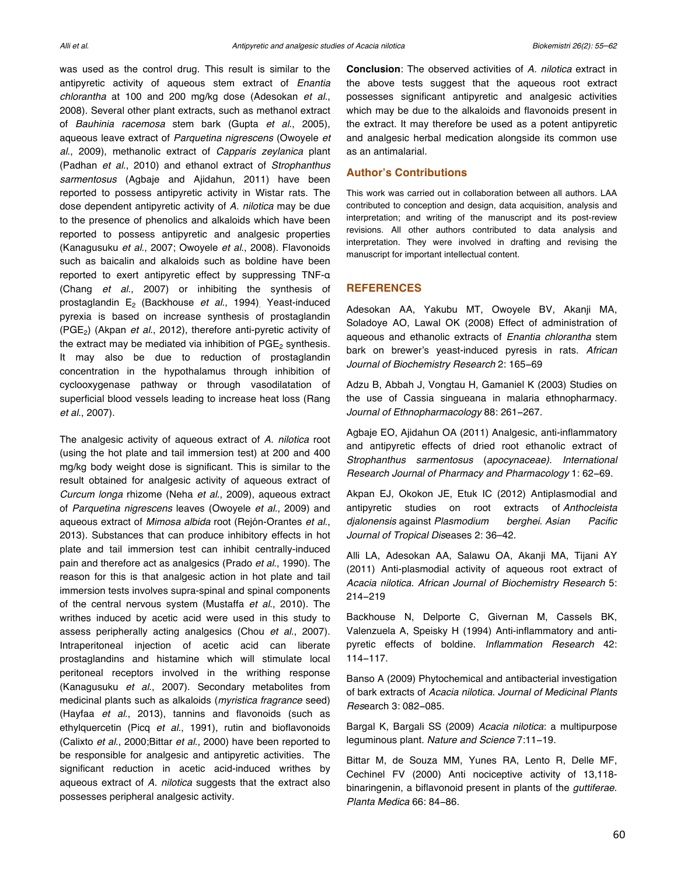was used as the control drug. This result is similar to the antipyretic activity of aqueous stem extract of *Enantia chlorantha* at 100 and 200 mg/kg dose (Adesokan *et al*., 2008). Several other plant extracts, such as methanol extract of *Bauhinia racemosa* stem bark (Gupta *et al*., 2005), aqueous leave extract of *Parquetina nigrescens* (Owoyele *et al*., 2009), methanolic extract of *Capparis zeylanica* plant (Padhan *et al*., 2010) and ethanol extract of *Strophanthus sarmentosus* (Agbaje and Ajidahun, 2011) have been reported to possess antipyretic activity in Wistar rats. The dose dependent antipyretic activity of *A. nilotica* may be due to the presence of phenolics and alkaloids which have been reported to possess antipyretic and analgesic properties (Kanagusuku *et al*., 2007; Owoyele *et al*., 2008). Flavonoids such as baicalin and alkaloids such as boldine have been reported to exert antipyretic effect by suppressing TNF-α (Chang *et al*., 2007) or inhibiting the synthesis of prostaglandin E2 (Backhouse *et al*., 1994). Yeast-induced pyrexia is based on increase synthesis of prostaglandin (PGE2) (Akpan *et al*., 2012), therefore anti-pyretic activity of the extract may be mediated via inhibition of  $PGE<sub>2</sub>$  synthesis. It may also be due to reduction of prostaglandin concentration in the hypothalamus through inhibition of cyclooxygenase pathway or through vasodilatation of superficial blood vessels leading to increase heat loss (Rang *et al*., 2007).

The analgesic activity of aqueous extract of *A. nilotica* root (using the hot plate and tail immersion test) at 200 and 400 mg/kg body weight dose is significant. This is similar to the result obtained for analgesic activity of aqueous extract of *Curcum longa* rhizome (Neha *et al*., 2009), aqueous extract of *Parquetina nigrescens* leaves (Owoyele *et al*., 2009) and aqueous extract of *Mimosa albida* root (Rejón-Orantes *et al*., 2013). Substances that can produce inhibitory effects in hot plate and tail immersion test can inhibit centrally-induced pain and therefore act as analgesics (Prado *et al*., 1990). The reason for this is that analgesic action in hot plate and tail immersion tests involves supra-spinal and spinal components of the central nervous system (Mustaffa *et al*., 2010). The writhes induced by acetic acid were used in this study to assess peripherally acting analgesics (Chou *et al*., 2007). Intraperitoneal injection of acetic acid can liberate prostaglandins and histamine which will stimulate local peritoneal receptors involved in the writhing response (Kanagusuku *et al*., 2007). Secondary metabolites from medicinal plants such as alkaloids (*myristica fragrance* seed) (Hayfaa *et al*., 2013), tannins and flavonoids (such as ethylquercetin (Picq *et al*., 1991), rutin and bioflavonoids (Calixto *et al*., 2000;Bittar *et al*., 2000) have been reported to be responsible for analgesic and antipyretic activities. The significant reduction in acetic acid-induced writhes by aqueous extract of *A. nilotica* suggests that the extract also possesses peripheral analgesic activity.

**Conclusion**: The observed activities of *A. nilotica* extract in the above tests suggest that the aqueous root extract possesses significant antipyretic and analgesic activities which may be due to the alkaloids and flavonoids present in the extract. It may therefore be used as a potent antipyretic and analgesic herbal medication alongside its common use as an antimalarial.

## **Author's Contributions**

This work was carried out in collaboration between all authors. LAA contributed to conception and design, data acquisition, analysis and interpretation; and writing of the manuscript and its post-review revisions. All other authors contributed to data analysis and interpretation. They were involved in drafting and revising the manuscript for important intellectual content.

#### **REFERENCES**

Adesokan AA, Yakubu MT, Owoyele BV, Akanji MA, Soladoye AO, Lawal OK (2008) Effect of administration of aqueous and ethanolic extracts of *Enantia chlorantha* stem bark on brewer's yeast-induced pyresis in rats. *African Journal of Biochemistry Research* 2: 165−69

Adzu B, Abbah J, Vongtau H, Gamaniel K (2003) Studies on the use of Cassia singueana in malaria ethnopharmacy. *Journal of Ethnopharmacology* 88: 261−267.

Agbaje EO, Ajidahun OA (2011) Analgesic, anti-inflammatory and antipyretic effects of dried root ethanolic extract of *Strophanthus sarmentosus* (*apocynaceae). International Research Journal of Pharmacy and Pharmacology* 1: 62−69.

Akpan EJ, Okokon JE, Etuk IC (2012) Antiplasmodial and antipyretic studies on root extracts of *Anthocleista djalonensis* against *Plasmodium berghei*. *Asian Pacific Journal of Tropical Dis*eases 2: 36–42.

Alli LA, Adesokan AA, Salawu OA, Akanji MA, Tijani AY (2011) Anti-plasmodial activity of aqueous root extract of *Acacia nilotica. African Journal of Biochemistry Research* 5: 214−219

Backhouse N, Delporte C, Givernan M, Cassels BK, Valenzuela A, Speisky H (1994) Anti-inflammatory and antipyretic effects of boldine. *Inflammation Research* 42: 114−117.

Banso A (2009) Phytochemical and antibacterial investigation of bark extracts of *Acacia nilotica*. *Journal of Medicinal Plants Res*earch 3: 082−085.

Bargal K, Bargali SS (2009) *Acacia nilotica*: a multipurpose leguminous plant. *Nature and Science* 7:11−19.

Bittar M, de Souza MM, Yunes RA, Lento R, Delle MF, Cechinel FV (2000) Anti nociceptive activity of 13,118 binaringenin, a biflavonoid present in plants of the *guttiferae*. *Planta Medica* 66: 84−86.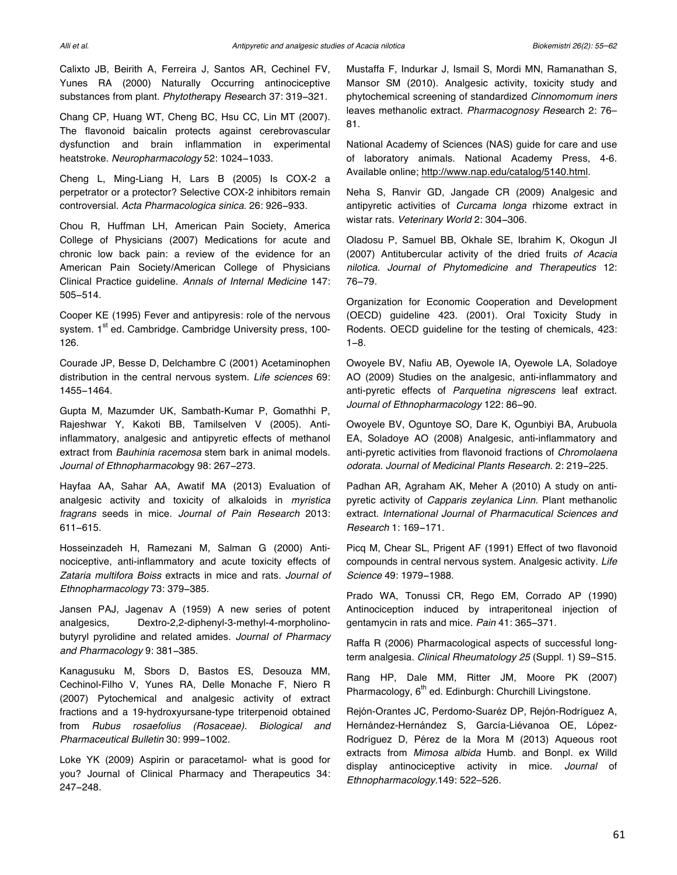Calixto JB, Beirith A, Ferreira J, Santos AR, Cechinel FV, Yunes RA (2000) Naturally Occurring antinociceptive substances from plant. *Phytother*apy *Res*earch 37: 319−321.

Chang CP, Huang WT, Cheng BC, Hsu CC, Lin MT (2007). The flavonoid baicalin protects against cerebrovascular dysfunction and brain inflammation in experimental heatstroke. *Neuropharmacology* 52: 1024−1033.

Cheng L, Ming-Liang H, Lars B (2005) Is COX-2 a perpetrator or a protector? Selective COX-2 inhibitors remain controversial. *Acta Pharmacologica sinica.* 26: 926−933.

Chou R, Huffman LH, American Pain Society, America College of Physicians (2007) Medications for acute and chronic low back pain: a review of the evidence for an American Pain Society/American College of Physicians Clinical Practice guideline. *Annals of Internal Medicine* 147: 505−514.

Cooper KE (1995) Fever and antipyresis: role of the nervous system. 1st ed. Cambridge. Cambridge University press, 100-126.

Courade JP, Besse D, Delchambre C (2001) Acetaminophen distribution in the central nervous system. *Life sciences* 69: 1455−1464.

Gupta M, Mazumder UK, Sambath-Kumar P, Gomathhi P, Rajeshwar Y, Kakoti BB, Tamilselven V (2005). Antiinflammatory, analgesic and antipyretic effects of methanol extract from *Bauhinia racemosa* stem bark in animal models. *Journal of Ethnopharmacol*ogy 98: 267−273.

Hayfaa AA, Sahar AA, Awatif MA (2013) Evaluation of analgesic activity and toxicity of alkaloids in *myristica fragrans* seeds in mice. *Journal of Pain Research* 2013: 611−615.

Hosseinzadeh H, Ramezani M, Salman G (2000) Antinociceptive, anti-inflammatory and acute toxicity effects of *Zataria multifora Boiss* extracts in mice and rats. *Journal of Ethnopharmacology* 73: 379−385.

Jansen PAJ, Jagenav A (1959) A new series of potent analgesics, Dextro-2,2-diphenyl-3-methyl-4-morpholinobutyryl pyrolidine and related amides. *Journal of Pharmacy and Pharmacology* 9: 381−385.

Kanagusuku M, Sbors D, Bastos ES, Desouza MM, Cechinol-Filho V, Yunes RA, Delle Monache F, Niero R (2007) Pytochemical and analgesic activity of extract fractions and a 19-hydroxyursane-type triterpenoid obtained from *Rubus rosaefolius (Rosaceae). Biological and Pharmaceutical Bulletin* 30: 999−1002.

Loke YK (2009) Aspirin or paracetamol- what is good for you? Journal of Clinical Pharmacy and Therapeutics 34: 247−248.

Mustaffa F, Indurkar J, Ismail S, Mordi MN, Ramanathan S, Mansor SM (2010). Analgesic activity, toxicity study and phytochemical screening of standardized *Cinnomomum iners* leaves methanolic extract. *Pharmacognosy Res*earch 2: 76– 81.

National Academy of Sciences (NAS) guide for care and use of laboratory animals. National Academy Press, 4-6. Available online; http://www.nap.edu/catalog/5140.html.

Neha S, Ranvir GD, Jangade CR (2009) Analgesic and antipyretic activities of *Curcama longa* rhizome extract in wistar rats. *Veterinary World* 2: 304−306.

Oladosu P, Samuel BB, Okhale SE, Ibrahim K, Okogun JI (2007) Antitubercular activity of the dried fruits *of Acacia nilotica. Journal of Phytomedicine and Therapeutics* 12: 76−79.

Organization for Economic Cooperation and Development (OECD) guideline 423. (2001). Oral Toxicity Study in Rodents. OECD guideline for the testing of chemicals, 423: 1−8.

Owoyele BV, Nafiu AB, Oyewole IA, Oyewole LA, Soladoye AO (2009) Studies on the analgesic, anti-inflammatory and anti-pyretic effects of *Parquetina nigrescens* leaf extract. *Journal of Ethnopharmacology* 122: 86−90.

Owoyele BV, Oguntoye SO, Dare K, Ogunbiyi BA, Arubuola EA, Soladoye AO (2008) Analgesic, anti-inflammatory and anti-pyretic activities from flavonoid fractions of *Chromolaena odorata. Journal of Medicinal Plants Research.* 2: 219−225.

Padhan AR, Agraham AK, Meher A (2010) A study on antipyretic activity of *Capparis zeylanica Linn.* Plant methanolic extract. *International Journal of Pharmacutical Sciences and Research* 1: 169−171.

Picq M, Chear SL, Prigent AF (1991) Effect of two flavonoid compounds in central nervous system. Analgesic activity. *Life Science* 49: 1979−1988.

Prado WA, Tonussi CR, Rego EM, Corrado AP (1990) Antinociception induced by intraperitoneal injection of gentamycin in rats and mice. *Pain* 41: 365−371.

Raffa R (2006) Pharmacological aspects of successful longterm analgesia. *Clinical Rheumatology 25* (Suppl. 1) S9−S15.

Rang HP, Dale MM, Ritter JM, Moore PK (2007) Pharmacology,  $6<sup>th</sup>$  ed. Edinburgh: Churchill Livingstone.

Rejón-Orantes JC, Perdomo-Suaréz DP, Rejón-Rodríguez A, Hernández-Hernández S, García-Liévanoa OE, López-Rodríguez D, Pérez de la Mora M (2013) Aqueous root extracts from *Mimosa albida* Humb*.* and Bonpl*.* ex Willd display antinociceptive activity in mice. *Journal* of *Ethnopharmacology.*149: 522–526.